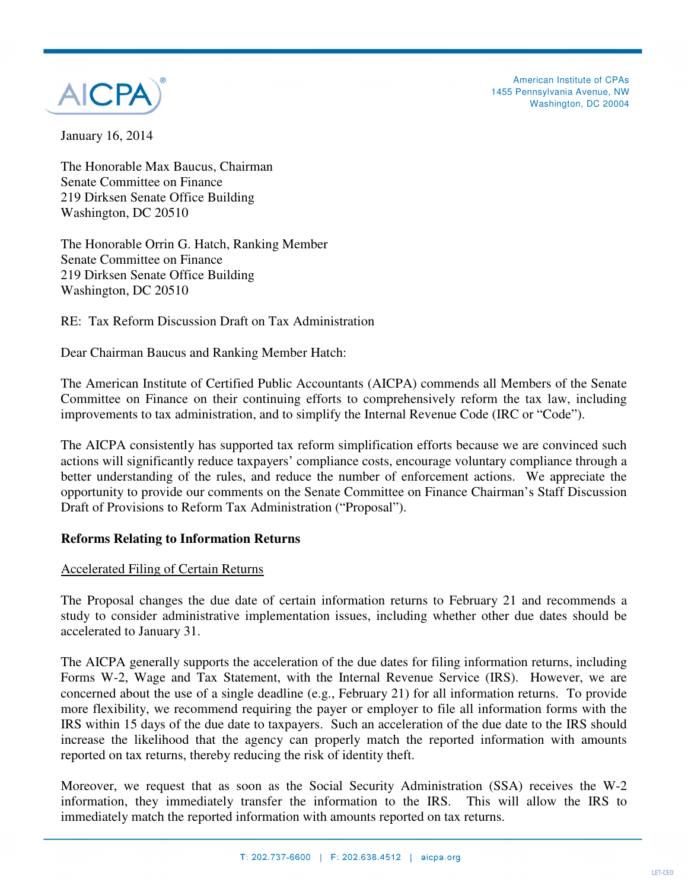

American Institute of CPAs 1455 Pennsylvania Avenue, NW Washington, DC 20004

January 16, 2014

The Honorable Max Baucus, Chairman Senate Committee on Finance 219 Dirksen Senate Office Building Washington, DC 20510

The Honorable Orrin G. Hatch, Ranking Member Senate Committee on Finance 219 Dirksen Senate Office Building Washington, DC 20510

RE: Tax Reform Discussion Draft on Tax Administration

Dear Chairman Baucus and Ranking Member Hatch:

The American Institute of Certified Public Accountants (AICPA) commends all Members of the Senate Committee on Finance on their continuing efforts to comprehensively reform the tax law, including improvements to tax administration, and to simplify the Internal Revenue Code (IRC or "Code").

The AICPA consistently has supported tax reform simplification efforts because we are convinced such actions will significantly reduce taxpayers' compliance costs, encourage voluntary compliance through a better understanding of the rules, and reduce the number of enforcement actions. We appreciate the opportunity to provide our comments on the Senate Committee on Finance Chairman's Staff Discussion Draft of Provisions to Reform Tax Administration ("Proposal").

### **Reforms Relating to Information Returns**

### Accelerated Filing of Certain Returns

The Proposal changes the due date of certain information returns to February 21 and recommends a study to consider administrative implementation issues, including whether other due dates should be accelerated to January 31.

The AICPA generally supports the acceleration of the due dates for filing information returns, including Forms W-2, Wage and Tax Statement, with the Internal Revenue Service (IRS). However, we are concerned about the use of a single deadline (e.g., February 21) for all information returns. To provide more flexibility, we recommend requiring the payer or employer to file all information forms with the IRS within 15 days of the due date to taxpayers. Such an acceleration of the due date to the IRS should increase the likelihood that the agency can properly match the reported information with amounts reported on tax returns, thereby reducing the risk of identity theft.

Moreover, we request that as soon as the Social Security Administration (SSA) receives the W-2 information, they immediately transfer the information to the IRS. This will allow the IRS to immediately match the reported information with amounts reported on tax returns.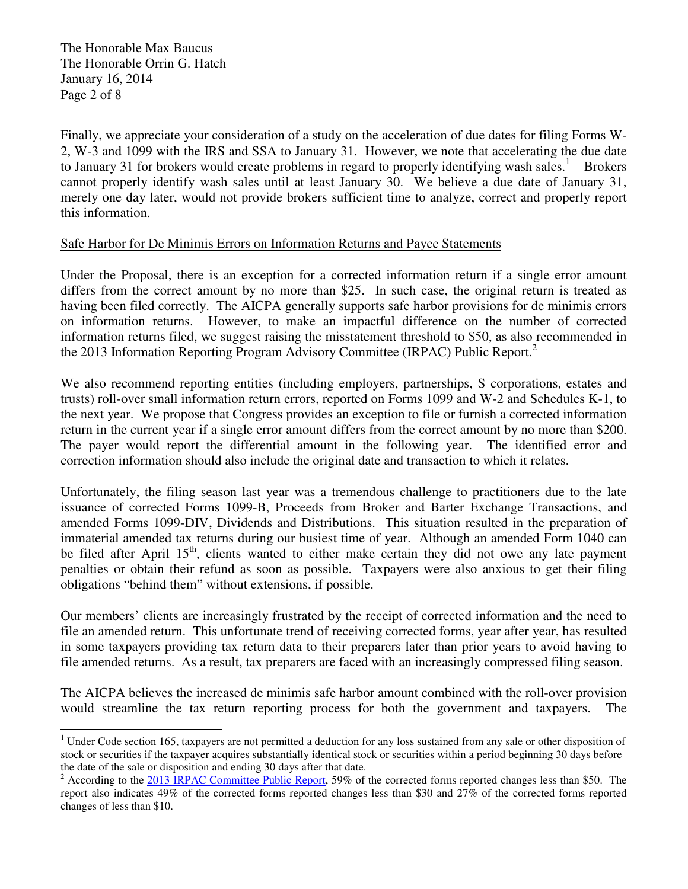The Honorable Max Baucus The Honorable Orrin G. Hatch January 16, 2014 Page 2 of 8

 $\overline{a}$ 

Finally, we appreciate your consideration of a study on the acceleration of due dates for filing Forms W-2, W-3 and 1099 with the IRS and SSA to January 31. However, we note that accelerating the due date to January 31 for brokers would create problems in regard to properly identifying wash sales.<sup>1</sup> Brokers cannot properly identify wash sales until at least January 30. We believe a due date of January 31, merely one day later, would not provide brokers sufficient time to analyze, correct and properly report this information.

## Safe Harbor for De Minimis Errors on Information Returns and Payee Statements

Under the Proposal, there is an exception for a corrected information return if a single error amount differs from the correct amount by no more than \$25. In such case, the original return is treated as having been filed correctly. The AICPA generally supports safe harbor provisions for de minimis errors on information returns. However, to make an impactful difference on the number of corrected information returns filed, we suggest raising the misstatement threshold to \$50, as also recommended in the 2013 Information Reporting Program Advisory Committee (IRPAC) Public Report.<sup>2</sup>

We also recommend reporting entities (including employers, partnerships, S corporations, estates and trusts) roll-over small information return errors, reported on Forms 1099 and W-2 and Schedules K-1, to the next year. We propose that Congress provides an exception to file or furnish a corrected information return in the current year if a single error amount differs from the correct amount by no more than \$200. The payer would report the differential amount in the following year. The identified error and correction information should also include the original date and transaction to which it relates.

Unfortunately, the filing season last year was a tremendous challenge to practitioners due to the late issuance of corrected Forms 1099-B, Proceeds from Broker and Barter Exchange Transactions, and amended Forms 1099-DIV, Dividends and Distributions. This situation resulted in the preparation of immaterial amended tax returns during our busiest time of year. Although an amended Form 1040 can be filed after April  $15<sup>th</sup>$ , clients wanted to either make certain they did not owe any late payment penalties or obtain their refund as soon as possible. Taxpayers were also anxious to get their filing obligations "behind them" without extensions, if possible.

Our members' clients are increasingly frustrated by the receipt of corrected information and the need to file an amended return. This unfortunate trend of receiving corrected forms, year after year, has resulted in some taxpayers providing tax return data to their preparers later than prior years to avoid having to file amended returns. As a result, tax preparers are faced with an increasingly compressed filing season.

The AICPA believes the increased de minimis safe harbor amount combined with the roll-over provision would streamline the tax return reporting process for both the government and taxpayers. The

 $1$  Under Code section 165, taxpayers are not permitted a deduction for any loss sustained from any sale or other disposition of stock or securities if the taxpayer acquires substantially identical stock or securities within a period beginning 30 days before the date of the sale or disposition and ending 30 days after that date.

<sup>2</sup> According to the 2013 IRPAC Committee Public Report, 59% of the corrected forms reported changes less than \$50. The report also indicates 49% of the corrected forms reported changes less than \$30 and 27% of the corrected forms reported changes of less than \$10.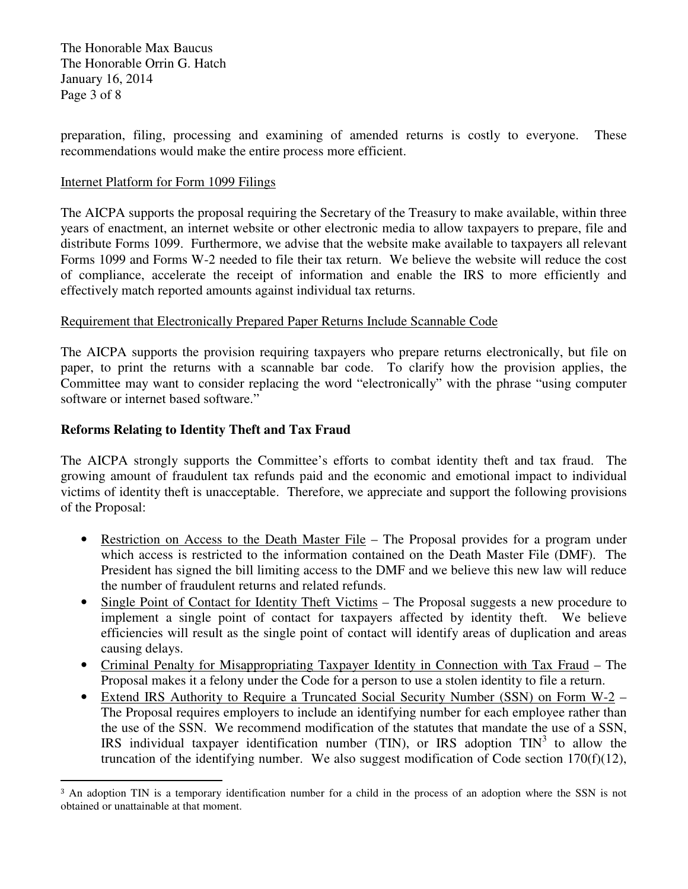The Honorable Max Baucus The Honorable Orrin G. Hatch January 16, 2014 Page 3 of 8

preparation, filing, processing and examining of amended returns is costly to everyone. These recommendations would make the entire process more efficient.

### Internet Platform for Form 1099 Filings

The AICPA supports the proposal requiring the Secretary of the Treasury to make available, within three years of enactment, an internet website or other electronic media to allow taxpayers to prepare, file and distribute Forms 1099. Furthermore, we advise that the website make available to taxpayers all relevant Forms 1099 and Forms W-2 needed to file their tax return. We believe the website will reduce the cost of compliance, accelerate the receipt of information and enable the IRS to more efficiently and effectively match reported amounts against individual tax returns.

## Requirement that Electronically Prepared Paper Returns Include Scannable Code

The AICPA supports the provision requiring taxpayers who prepare returns electronically, but file on paper, to print the returns with a scannable bar code. To clarify how the provision applies, the Committee may want to consider replacing the word "electronically" with the phrase "using computer software or internet based software."

# **Reforms Relating to Identity Theft and Tax Fraud**

 $\overline{a}$ 

The AICPA strongly supports the Committee's efforts to combat identity theft and tax fraud. The growing amount of fraudulent tax refunds paid and the economic and emotional impact to individual victims of identity theft is unacceptable. Therefore, we appreciate and support the following provisions of the Proposal:

- Restriction on Access to the Death Master File The Proposal provides for a program under which access is restricted to the information contained on the Death Master File (DMF). The President has signed the bill limiting access to the DMF and we believe this new law will reduce the number of fraudulent returns and related refunds.
- Single Point of Contact for Identity Theft Victims The Proposal suggests a new procedure to implement a single point of contact for taxpayers affected by identity theft. We believe efficiencies will result as the single point of contact will identify areas of duplication and areas causing delays.
- Criminal Penalty for Misappropriating Taxpayer Identity in Connection with Tax Fraud The Proposal makes it a felony under the Code for a person to use a stolen identity to file a return.
- Extend IRS Authority to Require a Truncated Social Security Number (SSN) on Form W-2 The Proposal requires employers to include an identifying number for each employee rather than the use of the SSN. We recommend modification of the statutes that mandate the use of a SSN, IRS individual taxpayer identification number (TIN), or IRS adoption  $TIN<sup>3</sup>$  to allow the truncation of the identifying number. We also suggest modification of Code section 170(f)(12),

<sup>3</sup> An adoption TIN is a temporary identification number for a child in the process of an adoption where the SSN is not obtained or unattainable at that moment.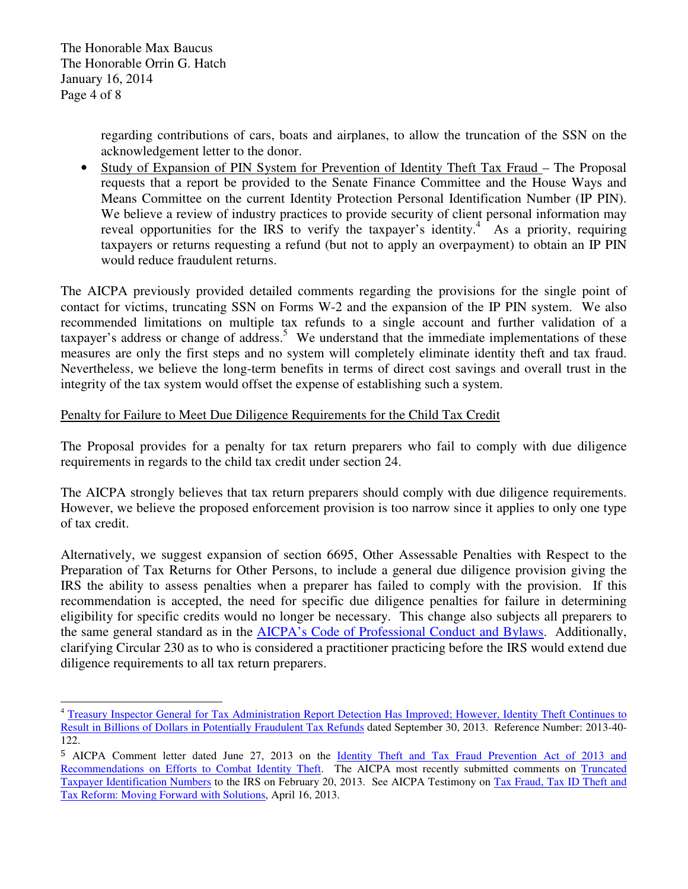The Honorable Max Baucus The Honorable Orrin G. Hatch January 16, 2014 Page 4 of 8

 $\overline{a}$ 

regarding contributions of cars, boats and airplanes, to allow the truncation of the SSN on the acknowledgement letter to the donor.

• Study of Expansion of PIN System for Prevention of Identity Theft Tax Fraud – The Proposal requests that a report be provided to the Senate Finance Committee and the House Ways and Means Committee on the current Identity Protection Personal Identification Number (IP PIN). We believe a review of industry practices to provide security of client personal information may reveal opportunities for the IRS to verify the taxpayer's identity.<sup>4</sup> As a priority, requiring taxpayers or returns requesting a refund (but not to apply an overpayment) to obtain an IP PIN would reduce fraudulent returns.

The AICPA previously provided detailed comments regarding the provisions for the single point of contact for victims, truncating SSN on Forms W-2 and the expansion of the IP PIN system. We also recommended limitations on multiple tax refunds to a single account and further validation of a taxpayer's address or change of address.<sup>5</sup> We understand that the immediate implementations of these measures are only the first steps and no system will completely eliminate identity theft and tax fraud. Nevertheless, we believe the long-term benefits in terms of direct cost savings and overall trust in the integrity of the tax system would offset the expense of establishing such a system.

### Penalty for Failure to Meet Due Diligence Requirements for the Child Tax Credit

The Proposal provides for a penalty for tax return preparers who fail to comply with due diligence requirements in regards to the child tax credit under section 24.

The AICPA strongly believes that tax return preparers should comply with due diligence requirements. However, we believe the proposed enforcement provision is too narrow since it applies to only one type of tax credit.

Alternatively, we suggest expansion of section 6695, Other Assessable Penalties with Respect to the Preparation of Tax Returns for Other Persons, to include a general due diligence provision giving the IRS the ability to assess penalties when a preparer has failed to comply with the provision. If this recommendation is accepted, the need for specific due diligence penalties for failure in determining eligibility for specific credits would no longer be necessary. This change also subjects all preparers to the same general standard as in the AICPA's Code of Professional Conduct and Bylaws. Additionally, clarifying Circular 230 as to who is considered a practitioner practicing before the IRS would extend due diligence requirements to all tax return preparers.

<sup>&</sup>lt;sup>4</sup> Treasury Inspector General for Tax Administration Report Detection Has Improved; However, Identity Theft Continues to Result in Billions of Dollars in Potentially Fraudulent Tax Refunds dated September 30, 2013. Reference Number: 2013-40- 122.

<sup>5</sup> AICPA Comment letter dated June 27, 2013 on the Identity Theft and Tax Fraud Prevention Act of 2013 and Recommendations on Efforts to Combat Identity Theft. The AICPA most recently submitted comments on Truncated Taxpayer Identification Numbers to the IRS on February 20, 2013. See AICPA Testimony on Tax Fraud, Tax ID Theft and Tax Reform: Moving Forward with Solutions, April 16, 2013.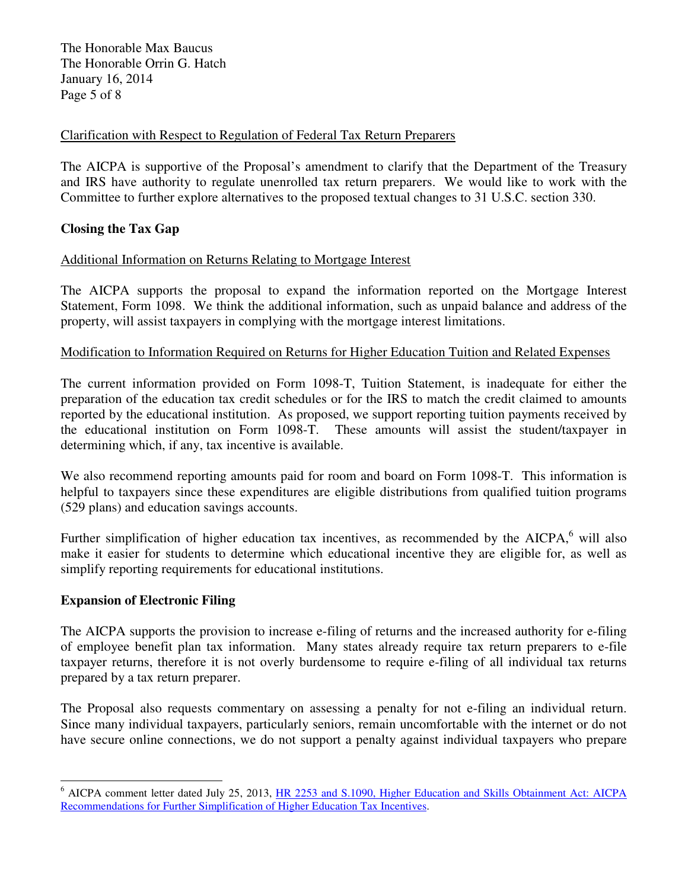The Honorable Max Baucus The Honorable Orrin G. Hatch January 16, 2014 Page 5 of 8

## Clarification with Respect to Regulation of Federal Tax Return Preparers

The AICPA is supportive of the Proposal's amendment to clarify that the Department of the Treasury and IRS have authority to regulate unenrolled tax return preparers. We would like to work with the Committee to further explore alternatives to the proposed textual changes to 31 U.S.C. section 330.

## **Closing the Tax Gap**

## Additional Information on Returns Relating to Mortgage Interest

The AICPA supports the proposal to expand the information reported on the Mortgage Interest Statement, Form 1098. We think the additional information, such as unpaid balance and address of the property, will assist taxpayers in complying with the mortgage interest limitations.

### Modification to Information Required on Returns for Higher Education Tuition and Related Expenses

The current information provided on Form 1098-T, Tuition Statement, is inadequate for either the preparation of the education tax credit schedules or for the IRS to match the credit claimed to amounts reported by the educational institution. As proposed, we support reporting tuition payments received by the educational institution on Form 1098-T. These amounts will assist the student/taxpayer in determining which, if any, tax incentive is available.

We also recommend reporting amounts paid for room and board on Form 1098-T. This information is helpful to taxpayers since these expenditures are eligible distributions from qualified tuition programs (529 plans) and education savings accounts.

Further simplification of higher education tax incentives, as recommended by the  $AICPA<sub>o</sub><sup>6</sup>$  will also make it easier for students to determine which educational incentive they are eligible for, as well as simplify reporting requirements for educational institutions.

### **Expansion of Electronic Filing**

 $\overline{a}$ 

The AICPA supports the provision to increase e-filing of returns and the increased authority for e-filing of employee benefit plan tax information. Many states already require tax return preparers to e-file taxpayer returns, therefore it is not overly burdensome to require e-filing of all individual tax returns prepared by a tax return preparer.

The Proposal also requests commentary on assessing a penalty for not e-filing an individual return. Since many individual taxpayers, particularly seniors, remain uncomfortable with the internet or do not have secure online connections, we do not support a penalty against individual taxpayers who prepare

<sup>&</sup>lt;sup>6</sup> AICPA comment letter dated July 25, 2013, *HR 2253 and S.1090*, *Higher Education and Skills Obtainment Act: AICPA* Recommendations for Further Simplification of Higher Education Tax Incentives.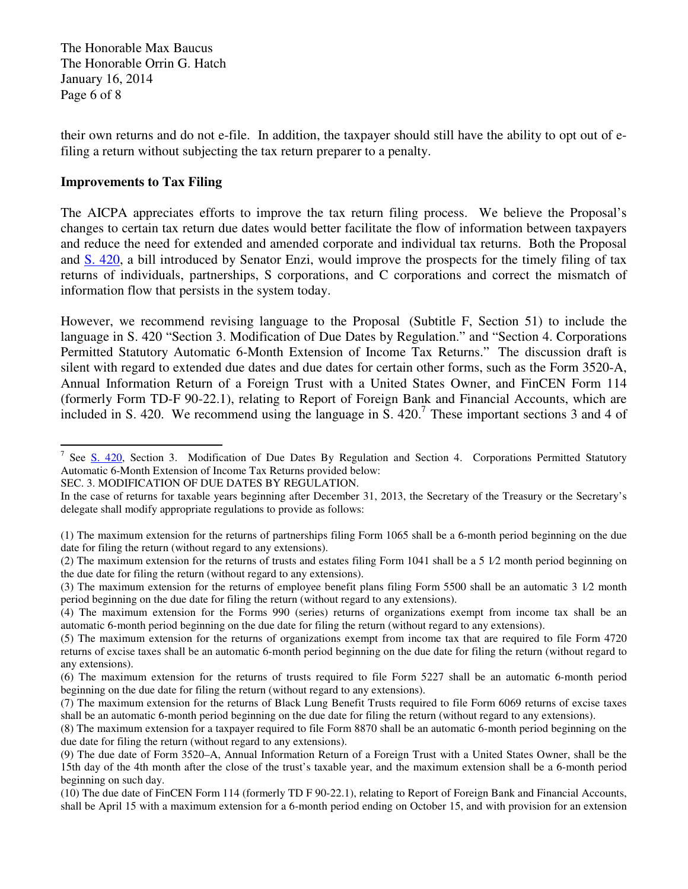The Honorable Max Baucus The Honorable Orrin G. Hatch January 16, 2014 Page 6 of 8

their own returns and do not e-file. In addition, the taxpayer should still have the ability to opt out of efiling a return without subjecting the tax return preparer to a penalty.

#### **Improvements to Tax Filing**

 $\overline{a}$ 

The AICPA appreciates efforts to improve the tax return filing process. We believe the Proposal's changes to certain tax return due dates would better facilitate the flow of information between taxpayers and reduce the need for extended and amended corporate and individual tax returns. Both the Proposal and S. 420, a bill introduced by Senator Enzi, would improve the prospects for the timely filing of tax returns of individuals, partnerships, S corporations, and C corporations and correct the mismatch of information flow that persists in the system today.

However, we recommend revising language to the Proposal (Subtitle F, Section 51) to include the language in S. 420 "Section 3. Modification of Due Dates by Regulation." and "Section 4. Corporations Permitted Statutory Automatic 6-Month Extension of Income Tax Returns." The discussion draft is silent with regard to extended due dates and due dates for certain other forms, such as the Form 3520-A, Annual Information Return of a Foreign Trust with a United States Owner, and FinCEN Form 114 (formerly Form TD-F 90-22.1), relating to Report of Foreign Bank and Financial Accounts, which are included in S. 420. We recommend using the language in S. 420.<sup>7</sup> These important sections 3 and 4 of

SEC. 3. MODIFICATION OF DUE DATES BY REGULATION.

(1) The maximum extension for the returns of partnerships filing Form 1065 shall be a 6-month period beginning on the due date for filing the return (without regard to any extensions).

(2) The maximum extension for the returns of trusts and estates filing Form 1041 shall be a 5 1⁄2 month period beginning on the due date for filing the return (without regard to any extensions).

(3) The maximum extension for the returns of employee benefit plans filing Form 5500 shall be an automatic 3 1⁄2 month period beginning on the due date for filing the return (without regard to any extensions).

<sup>&</sup>lt;sup>7</sup> See S. 420, Section 3. Modification of Due Dates By Regulation and Section 4. Corporations Permitted Statutory Automatic 6-Month Extension of Income Tax Returns provided below:

In the case of returns for taxable years beginning after December 31, 2013, the Secretary of the Treasury or the Secretary's delegate shall modify appropriate regulations to provide as follows:

<sup>(4)</sup> The maximum extension for the Forms 990 (series) returns of organizations exempt from income tax shall be an automatic 6-month period beginning on the due date for filing the return (without regard to any extensions).

<sup>(5)</sup> The maximum extension for the returns of organizations exempt from income tax that are required to file Form 4720 returns of excise taxes shall be an automatic 6-month period beginning on the due date for filing the return (without regard to any extensions).

<sup>(6)</sup> The maximum extension for the returns of trusts required to file Form 5227 shall be an automatic 6-month period beginning on the due date for filing the return (without regard to any extensions).

<sup>(7)</sup> The maximum extension for the returns of Black Lung Benefit Trusts required to file Form 6069 returns of excise taxes shall be an automatic 6-month period beginning on the due date for filing the return (without regard to any extensions).

<sup>(8)</sup> The maximum extension for a taxpayer required to file Form 8870 shall be an automatic 6-month period beginning on the due date for filing the return (without regard to any extensions).

<sup>(9)</sup> The due date of Form 3520–A, Annual Information Return of a Foreign Trust with a United States Owner, shall be the 15th day of the 4th month after the close of the trust's taxable year, and the maximum extension shall be a 6-month period beginning on such day.

<sup>(10)</sup> The due date of FinCEN Form 114 (formerly TD F 90-22.1), relating to Report of Foreign Bank and Financial Accounts, shall be April 15 with a maximum extension for a 6-month period ending on October 15, and with provision for an extension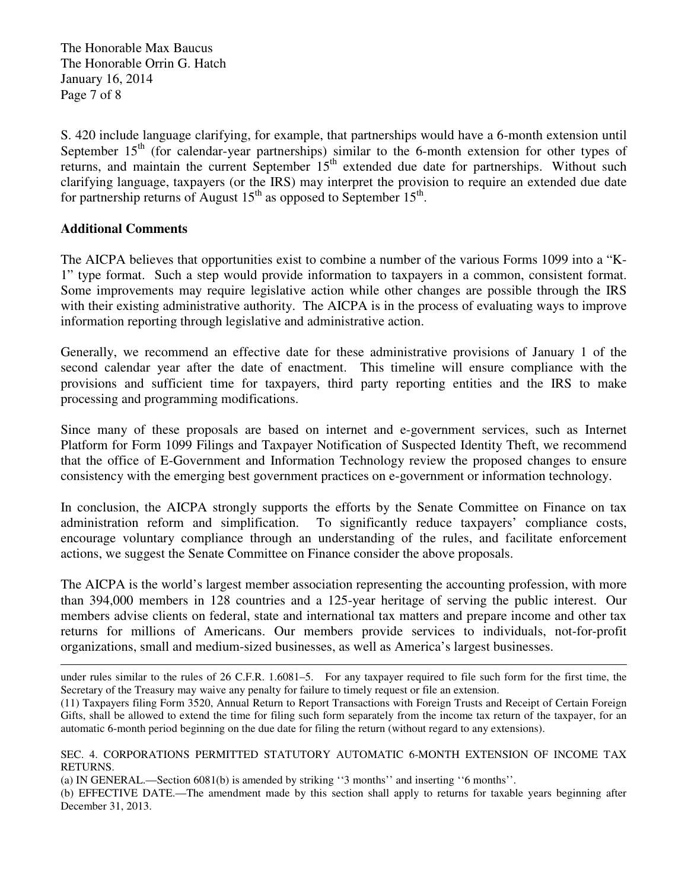The Honorable Max Baucus The Honorable Orrin G. Hatch January 16, 2014 Page 7 of 8

S. 420 include language clarifying, for example, that partnerships would have a 6-month extension until September  $15<sup>th</sup>$  (for calendar-year partnerships) similar to the 6-month extension for other types of returns, and maintain the current September 15<sup>th</sup> extended due date for partnerships. Without such clarifying language, taxpayers (or the IRS) may interpret the provision to require an extended due date for partnership returns of August  $15<sup>th</sup>$  as opposed to September  $15<sup>th</sup>$ .

## **Additional Comments**

 $\overline{a}$ 

The AICPA believes that opportunities exist to combine a number of the various Forms 1099 into a "K-1" type format. Such a step would provide information to taxpayers in a common, consistent format. Some improvements may require legislative action while other changes are possible through the IRS with their existing administrative authority. The AICPA is in the process of evaluating ways to improve information reporting through legislative and administrative action.

Generally, we recommend an effective date for these administrative provisions of January 1 of the second calendar year after the date of enactment. This timeline will ensure compliance with the provisions and sufficient time for taxpayers, third party reporting entities and the IRS to make processing and programming modifications.

Since many of these proposals are based on internet and e-government services, such as Internet Platform for Form 1099 Filings and Taxpayer Notification of Suspected Identity Theft, we recommend that the office of E-Government and Information Technology review the proposed changes to ensure consistency with the emerging best government practices on e-government or information technology.

In conclusion, the AICPA strongly supports the efforts by the Senate Committee on Finance on tax administration reform and simplification. To significantly reduce taxpayers' compliance costs, encourage voluntary compliance through an understanding of the rules, and facilitate enforcement actions, we suggest the Senate Committee on Finance consider the above proposals.

The AICPA is the world's largest member association representing the accounting profession, with more than 394,000 members in 128 countries and a 125-year heritage of serving the public interest. Our members advise clients on federal, state and international tax matters and prepare income and other tax returns for millions of Americans. Our members provide services to individuals, not-for-profit organizations, small and medium-sized businesses, as well as America's largest businesses.

(a) IN GENERAL.—Section 6081(b) is amended by striking ''3 months'' and inserting ''6 months''.

(b) EFFECTIVE DATE.—The amendment made by this section shall apply to returns for taxable years beginning after December 31, 2013.

under rules similar to the rules of 26 C.F.R. 1.6081–5. For any taxpayer required to file such form for the first time, the Secretary of the Treasury may waive any penalty for failure to timely request or file an extension.

<sup>(11)</sup> Taxpayers filing Form 3520, Annual Return to Report Transactions with Foreign Trusts and Receipt of Certain Foreign Gifts, shall be allowed to extend the time for filing such form separately from the income tax return of the taxpayer, for an automatic 6-month period beginning on the due date for filing the return (without regard to any extensions).

SEC. 4. CORPORATIONS PERMITTED STATUTORY AUTOMATIC 6-MONTH EXTENSION OF INCOME TAX RETURNS.